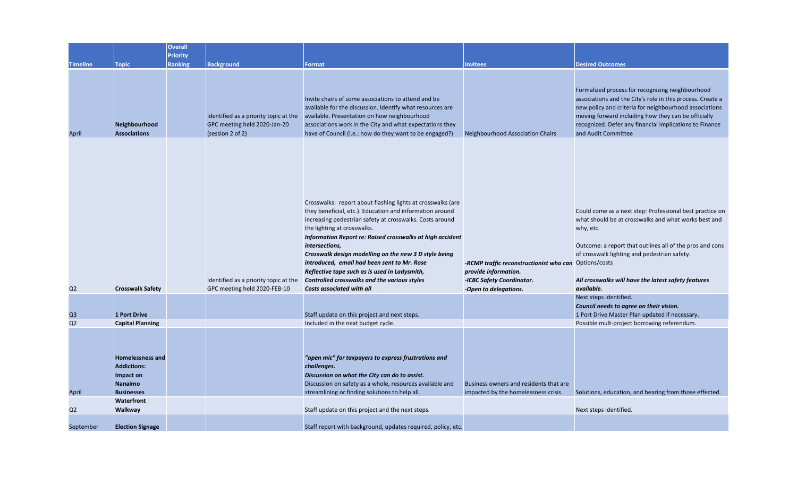|                 |                                                                                                   | <b>Overall</b>  |                                                                                           |                                                                                                                                                                                                                                                                                                                                                                                                                                                                                                                                         |                                                                                                                                     |                                                                                                                                                                                                                                                                                                                   |
|-----------------|---------------------------------------------------------------------------------------------------|-----------------|-------------------------------------------------------------------------------------------|-----------------------------------------------------------------------------------------------------------------------------------------------------------------------------------------------------------------------------------------------------------------------------------------------------------------------------------------------------------------------------------------------------------------------------------------------------------------------------------------------------------------------------------------|-------------------------------------------------------------------------------------------------------------------------------------|-------------------------------------------------------------------------------------------------------------------------------------------------------------------------------------------------------------------------------------------------------------------------------------------------------------------|
|                 |                                                                                                   | <b>Priority</b> |                                                                                           |                                                                                                                                                                                                                                                                                                                                                                                                                                                                                                                                         |                                                                                                                                     |                                                                                                                                                                                                                                                                                                                   |
| <b>Timeline</b> | <b>Topic</b>                                                                                      | <b>Ranking</b>  | <b>Background</b>                                                                         | Format                                                                                                                                                                                                                                                                                                                                                                                                                                                                                                                                  | <b>Invitees</b>                                                                                                                     | <b>Desired Outcomes</b>                                                                                                                                                                                                                                                                                           |
| April           | Neighbourhood<br><b>Associations</b>                                                              |                 | Identified as a priority topic at the<br>GPC meeting held 2020-Jan-20<br>(session 2 of 2) | Invite chairs of some associations to attend and be<br>available for the discussion. Identify what resources are<br>available. Presentation on how neighbourhood<br>associations work in the City and what expectations they<br>have of Council (i.e.: how do they want to be engaged?)                                                                                                                                                                                                                                                 | Neighbourhood Association Chairs                                                                                                    | Formalized process for recognizing neighbourhood<br>associations and the City's role in this process. Create a<br>new policy and criteria for neighbourhood associations<br>moving forward including how they can be officially<br>recognized. Defer any financial implications to Finance<br>and Audit Committee |
| Q <sub>2</sub>  | <b>Crosswalk Safety</b>                                                                           |                 | Identified as a priority topic at the<br>GPC meeting held 2020-FEB-10                     | Crosswalks: report about flashing lights at crosswalks (are<br>they beneficial, etc.). Education and information around<br>increasing pedestrian safety at crosswalks. Costs around<br>the lighting at crosswalks.<br>Information Report re: Raised crosswalks at high accident<br>intersections,<br>Crosswalk design modelling on the new 3 D style being<br>introduced, email had been sent to Mr. Rose<br>Reflective tape such as is used in Ladysmith,<br>Controlled crosswalks and the various styles<br>Costs associated with all | -RCMP traffic reconstructionist who can Options/costs<br>provide information.<br>-ICBC Safety Coordinator.<br>-Open to delegations. | Could come as a next step: Professional best practice on<br>what should be at crosswalks and what works best and<br>why, etc.<br>Outcome: a report that outlines all of the pros and cons<br>of crosswalk lighting and pedestrian safety.<br>All crosswalks will have the latest safety features<br>available.    |
|                 |                                                                                                   |                 |                                                                                           |                                                                                                                                                                                                                                                                                                                                                                                                                                                                                                                                         |                                                                                                                                     | Next steps identified.<br>Council needs to agree on their vision.                                                                                                                                                                                                                                                 |
| Q <sub>3</sub>  | <b>1 Port Drive</b>                                                                               |                 |                                                                                           | Staff update on this project and next steps.                                                                                                                                                                                                                                                                                                                                                                                                                                                                                            |                                                                                                                                     | 1 Port Drive Master Plan updated if necessary.                                                                                                                                                                                                                                                                    |
| Q2              | <b>Capital Planning</b>                                                                           |                 |                                                                                           | Included in the next budget cycle.                                                                                                                                                                                                                                                                                                                                                                                                                                                                                                      |                                                                                                                                     | Possible mult-project borrowing referendum.                                                                                                                                                                                                                                                                       |
| April           | <b>Homelessness and</b><br><b>Addictions:</b><br>Impact on<br><b>Nanaimo</b><br><b>Businesses</b> |                 |                                                                                           | "open mic" for taxpayers to express frustrations and<br>challenges.<br>Discussion on what the City can do to assist.<br>Discussion on safety as a whole, resources available and<br>streamlining or finding solutions to help all.                                                                                                                                                                                                                                                                                                      | Business owners and residents that are<br>impacted by the homelessness crisis.                                                      | Solutions, education, and hearing from those effected.                                                                                                                                                                                                                                                            |
|                 | Waterfront                                                                                        |                 |                                                                                           |                                                                                                                                                                                                                                                                                                                                                                                                                                                                                                                                         |                                                                                                                                     |                                                                                                                                                                                                                                                                                                                   |
| Q <sub>2</sub>  | Walkway                                                                                           |                 |                                                                                           | Staff update on this project and the next steps.                                                                                                                                                                                                                                                                                                                                                                                                                                                                                        |                                                                                                                                     | Next steps identified.                                                                                                                                                                                                                                                                                            |
| September       | <b>Election Signage</b>                                                                           |                 |                                                                                           | Staff report with background, updates required, policy, etc.                                                                                                                                                                                                                                                                                                                                                                                                                                                                            |                                                                                                                                     |                                                                                                                                                                                                                                                                                                                   |